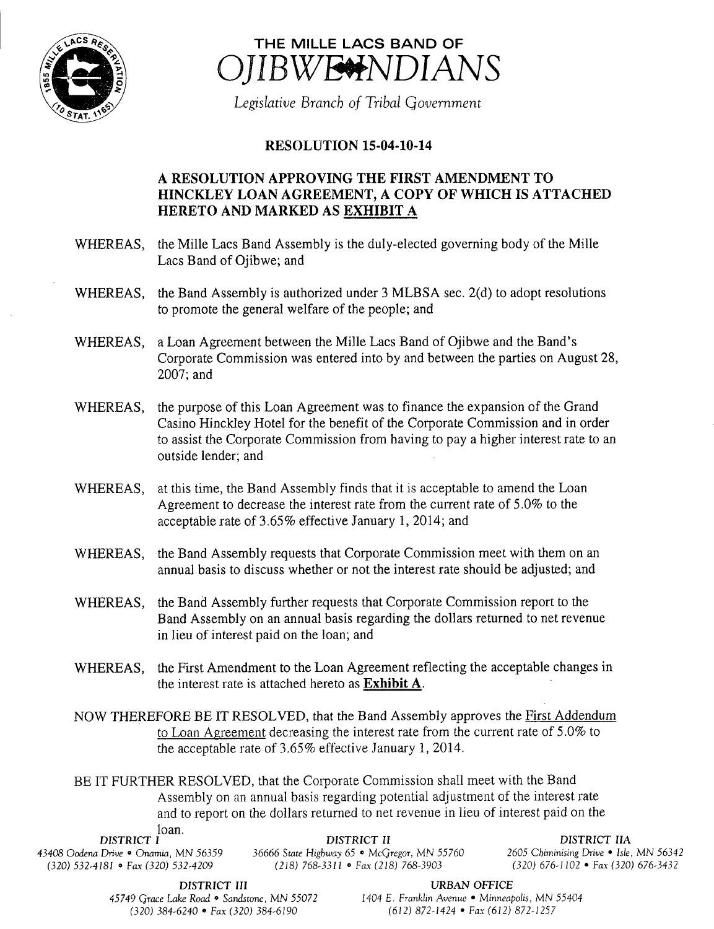



Legislative Branch of Tribal Government

## **RESOLUTION 15-04-10-14**

## A RESOLUTION APPROVING THE FIRST AMENDMENT TO HINCKLEY LOAN AGREEMENT, A COPY OF WHICH IS ATTACHED HERETO AND MARKED AS EXHIBIT A

- WHEREAS, the Mille Lacs Band Assembly is the duly-elected governing body of the Mille Lacs Band of Ojibwe; and
- WHEREAS, the Band Assembly is authorized under 3 MLBSA sec. 2(d) to adopt resolutions to promote the general welfare of the people; and
- WHEREAS, a Loan Agreement between the Mille Lacs Band of Ojibwe and the Band's Corporate Commission was entered into by and between the parties on August 28, 2007; and
- WHEREAS, the purpose of this Loan Agreement was to finance the expansion of the Grand Casino Hinckley Hotel for the benefit of the Corporate Commission and in order to assist the Corporate Commission from having to pay a higher interest rate to an outside lender; and
- WHEREAS, at this time, the Band Assembly finds that it is acceptable to amend the Loan Agreement to decrease the interest rate from the current rate of 5. 0% to the acceptable rate of 3. 65% effective January 1, 2014; and
- WHEREAS, the Band Assembly requests that Corporate Commission meet with them on an annual basis to discuss whether or not the interest rate should be adjusted; and
- WHEREAS, the Band Assembly further requests that Corporate Commission report to the Band Assembly on an annual basis regarding the dollars returned to net revenue in lieu of interest paid on the loan; and
- WHEREAS, the First Amendment to the Loan Agreement reflecting the acceptable changes in the interest rate is attached hereto as Exhibit A.
- NOW THEREFORE BE IT RESOLVED, that the Band Assembly approves the First Addendum to Loan Agreement decreasing the interest rate from the current rate of 5. 0% to the acceptable rate of 3.65% effective January 1, 2014.

BE IT FURTHER RESOLVED, that the Corporate Commission shall meet with the Band Assembly on an annual basis regarding potential adjustment of the interest rate and to report on the dollars returned to net revenue in lieu of interest paid on the loan

| wan.<br>DISTRICT I                    | DISTRICT II                                         | DISTRICT HA                             |
|---------------------------------------|-----------------------------------------------------|-----------------------------------------|
| 43408 Oodena Drive • Onamia, MN 56359 | 36666 State Highway 65 $\bullet$ McGregor, MN 55760 | 2605 Chiminising Drive • Isle, MN 56342 |
| $(320)$ 532-4181 • Fax (320) 532-4209 | $(218)$ 768-3311 • Fax (218) 768-3903               | $(320)$ 676-1102 • Fax (320) 676-3432   |

45749 Grace Lake Road • Sandstone, MN 55072 1404 E. Franklin Avenue • Minneapolis, MN 55404 320) 384- 6240 <sup>9</sup> Fax( 320) 384- 6190 612) 872- 1424 • Fax( 612) 872- 1257